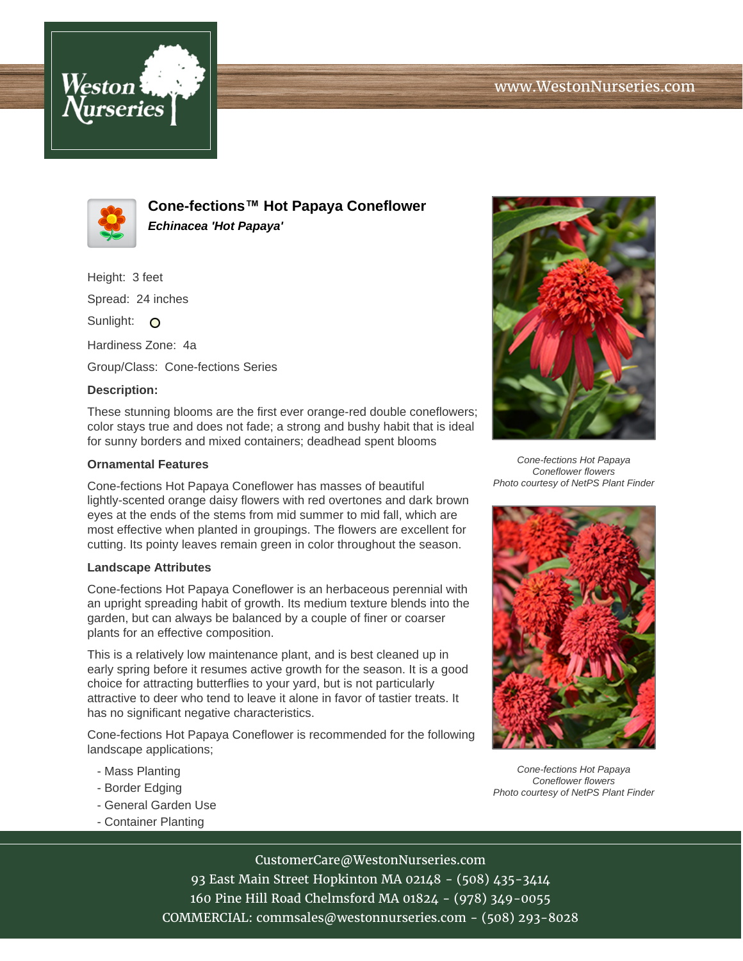



**Cone-fections™ Hot Papaya Coneflower Echinacea 'Hot Papaya'**

Height: 3 feet Spread: 24 inches

Sunlight: O

Hardiness Zone: 4a

Group/Class: Cone-fections Series

## **Description:**

These stunning blooms are the first ever orange-red double coneflowers; color stays true and does not fade; a strong and bushy habit that is ideal for sunny borders and mixed containers; deadhead spent blooms

## **Ornamental Features**

Cone-fections Hot Papaya Coneflower has masses of beautiful lightly-scented orange daisy flowers with red overtones and dark brown eyes at the ends of the stems from mid summer to mid fall, which are most effective when planted in groupings. The flowers are excellent for cutting. Its pointy leaves remain green in color throughout the season.

## **Landscape Attributes**

Cone-fections Hot Papaya Coneflower is an herbaceous perennial with an upright spreading habit of growth. Its medium texture blends into the garden, but can always be balanced by a couple of finer or coarser plants for an effective composition.

This is a relatively low maintenance plant, and is best cleaned up in early spring before it resumes active growth for the season. It is a good choice for attracting butterflies to your yard, but is not particularly attractive to deer who tend to leave it alone in favor of tastier treats. It has no significant negative characteristics.

Cone-fections Hot Papaya Coneflower is recommended for the following landscape applications;

- Mass Planting
- Border Edging
- General Garden Use
- Container Planting



Cone-fections Hot Papaya Coneflower flowers Photo courtesy of NetPS Plant Finder



Cone-fections Hot Papaya Coneflower flowers Photo courtesy of NetPS Plant Finder

CustomerCare@WestonNurseries.com 93 East Main Street Hopkinton MA 02148 - (508) 435-3414 160 Pine Hill Road Chelmsford MA 01824 - (978) 349-0055 COMMERCIAL: commsales@westonnurseries.com - (508) 293-8028